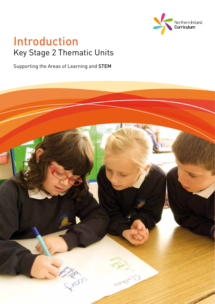

## Introduction Key Stage 2 Thematic Units

Supporting the Areas of Learning and STEM

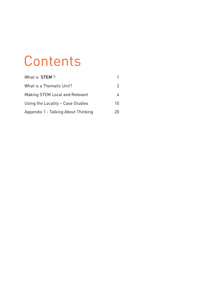# **Contents**

| What is 'STEM'?                     |    |
|-------------------------------------|----|
| What is a Thematic Unit?            | 2  |
| Making STEM Local and Relevant      |    |
| Using the Locality - Case Studies   | 10 |
| Appendix 1 - Talking About Thinking | 20 |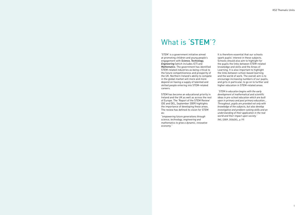## What is 'STEM'?

'STEM' is a government initiative aimed at promoting children and young people's engagement with *Science, Technology, Engineering* (which includes ICT) and *Mathematics*. The government has identified STEM-related industries as being critical to the future competitiveness and prosperity of the UK. Northern Ireland's ability to compete in the global market will more and more depend on having a supply of talented and skilled people entering into STEM-related careers.

STEM has become an educational priority in Ireland and the UK as well as across the rest of Europe. The 'Report of the STEM Review' (DE and DEL, September 2009) highlights the importance of developing these areas. The review has defined its vision for STEM as:

*"empowering future generations through science, technology, engineering and mathematics to grow a dynamic, innovative economy."*

It is therefore essential that our schools spark pupils' interest in these subjects. Schools should also aim to highlight for the pupils the links between STEM-related knowledge and skills and the Areas of Learning. It is also important to highlight the links between school-based learning and the world of work. The overall aim is to encourage increasing numbers of our pupils, and girls in particular, to go on to further and higher education in STEM-related areas.

 *'STEM in education begins with the early development of mathematical and scientific ideas in pre-school education which are built upon in primary and post primary education… Throughout, pupils are provided not only with knowledge of the subjects, but also develop investigative and problem-solving skills and an understanding of their application in the real world and their impact upon society.'* 

(NI), (2009, DE&DEL, p.19)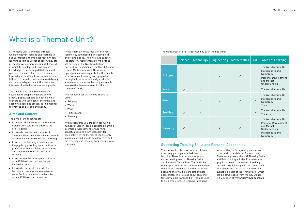# What is a Thematic Unit?

A Thematic Unit is a vehicle through which to deliver teaching and learning to pupils through a themed approach. When learning is 'joined up' for children, they are presented with a more meaningful context in which to develop skills and acquire knowledge. It is envisaged that each unit will form the core of a cross-curricular topic which could last from six weeks to a full term. Thematic Units are non-statutory and can be adapted to suit the needs and interests of individual schools and pupils.

The units in this resource have been developed to support teachers of Key Stage 2 pupils. Schools can decide which year group will use each of the units, and each unit should be presented in a manner relevant to pupils' age and ability.

- to support the delivery of the Northern Ireland Curriculum and address the STEM agenda;
- • to provide teachers with a bank of Thematic Units and activity ideas through which to deliver STEM-related learning;
- • to enrich the learning experiences of the pupils by providing opportunities for practical problem solving, investigating and research in real-life and local contexts;
- • to encourage the development of links with STEM-related businesses and industries; and
- • to provide real world contexts for learning to promote an awareness of some familiar and non-familiar roles within STEM-related industries.

#### Aims and Content

The aims of the resource are:

These Thematic Units focus on Science, Technology, Engineering (including ICT), and Mathematics. The units also support the statutory requirements for the Areas of Learning of the Northern Ireland Curriculum, in particular The World Around Us and Mathematics and Numeracy. Opportunities to incorporate the theme into other Areas of Learning are signposted throughout the resource and you should aim to use a connected learning approach to make the theme relevant to other classroom work.

This resource consists of five Thematic Units.

- • Bridges;
- • Water;
- Wind:
- • Textiles; and
- • Farming.

Within each unit, you are provided with a number of lesson ideas, suggested learning intentions, Assessment for Learning opportunities and new vocabulary for each activity in the theme. These are only suggestions and should be adapted to suit the teaching and learning happening in your classroom.

#### The main areas of STEM addressed by each thematic unit:

The themes in this book require children to actively participate in their own learning. There is an explicit emphasis on the development of Thinking Skills and Personal Capabilities. There will be many opportunities for children to develop these skills throughout the themes in this book and they will be signposted where appropriate. The 'Talking about Thinking' texts (available in Appendix 1), can be used to help create shared learning intentions

for activities, or for agreeing on success criteria with the children for an activity. These texts present the KS2 Thinking Skills and Personal Capabilities Framework in 'pupil language' as a means of making the skills explicit for pupils. An Interactive Whiteboard version of this framework is available as part of the 'Think Pack', which can be downloaded from the Key Stages 1 & 2 section of www.nicurriculum.org.uk

|                 | <b>Science</b> | <b>Technology</b> | <b>Engineering</b> | <b>Mathematics</b> | <b>ICT</b>   | <b>Areas of Learning</b>                                                                                  |
|-----------------|----------------|-------------------|--------------------|--------------------|--------------|-----------------------------------------------------------------------------------------------------------|
| <b>Bridges</b>  |                | $\checkmark$      | $\checkmark$       | $\checkmark$       |              | The World Around Us<br>Mathematics and<br>Numeracy<br>Personal Development<br>and Mutual<br>Understanding |
| <b>Water</b>    | $\checkmark$   | $\checkmark$      |                    |                    |              | The World Around Us                                                                                       |
| <b>Wind</b>     |                | $\checkmark$      | $\checkmark$       | $\checkmark$       | $\checkmark$ | The World Around Us<br>Mathematics and<br>Numeracy<br>The Arts                                            |
| <b>Textiles</b> | $\checkmark$   | $\checkmark$      |                    |                    | $\checkmark$ | The World Around Us<br>The Arts                                                                           |
| <b>Farming</b>  | $\checkmark$   | $\checkmark$      | $\checkmark$       | $\checkmark$       |              | The World Around Us<br>Personal Development<br>and Mutual<br>Understanding<br>Mathematics and<br>Numeracy |

#### Supporting Thinking Skills and Personal Capabilities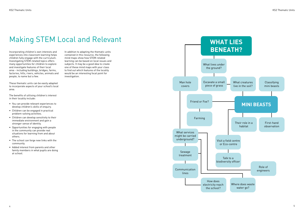# Making STEM Local and Relevant **WHAT LIES**

Incorporating children's own interests and experiences into classroom learning helps children fully engage with the curriculum. Investigating STEM-related topics offers many opportunities for children to explore and investigate features of their local area - including buildings, bridges, farms, factories, hills, rivers, vehicles, animals and people, to name but a few.

These thematic units can be easily adapted to incorporate aspects of your school's local area.

The benefits of utilising children's interest in their locality include:

- • You can provide relevant experiences to develop children's skills of enquiry.
- • Children can be engaged in practical problem-solving activities.
- • Children can develop sensitivity to their immediate environment and gain a stronger sense of identity.
- • Opportunities for engaging with people in the community can provide real situations for learning from and about others.
- The school can forge new links with the community.
- • Added interest from parents and other family members in what pupils are doing at school.

In addition to adapting the thematic units contained in this resource, the following mind maps show how STEM-related learning can be based on local issues and subjects. It may be a good idea to create one of these mind maps with your class to find out which features of the locality would be an interesting focal point for investigation.

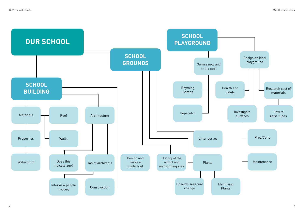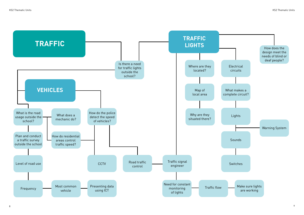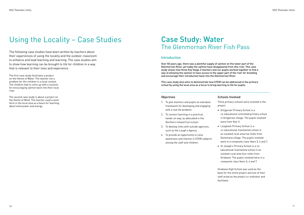# Using the Locality – Case Studies Case Study: Water

# The Glenmornan River Fish Pass

- 1. To give teachers and pupils an exemplar framework for developing and engaging with a real life problem.
- 2. To connect learning in a practical, hands-on way, as advocated in the Northern Ireland Curriculum.
- 3. To develop links with outside agencies, such as the Lough's Agency.
- 4. To provide an opportunity to raise awareness and interest in STEM subjects among the staff and children.

#### Schools Involved

• St Joseph's Primary School is a coeducational maintained school in an isolated rural area four miles from Strabane. The pupils involved were in a composite class Years 5, 6 and 7.

Three primary schools were involved in the

project.

- 
- 
- 

• Artigarvan Primary School is a co-educational controlled primary school in Artigarvan village. The pupils involved were from Year 5.

• Loughash Primary School is a co-educational maintained school in an isolated rural area five miles from Donemana village. The pupils involved were in a composite class Years 5, 6 and 7.

Strabane High School was used as the base for the entire project and one of their staff acted as the project co-ordinator and

facilitator.

#### Introduction

Over 50 years ago, there was a plentiful supply of salmon on the lower part of the Glenmornan River, yet today the salmon have disappeared from this river. This case study shows how three Key Stage 2 teachers and our pupils worked together to find a way of allowing the salmon to have access to the upper part of the river for breeding and encourage their introduction back into the Glenmornan River.

This case study also aims to demonstrate how STEM can be addressed in the primary school by using the local area as a focus to bring learning to life for pupils.

#### **Objectives**

The following case studies have been written by teachers about their experiences of using the locality and the outdoor classroom to enhance and lead teaching and learning. The case studies aim to show how learning can be brought to life for children in a way that is relevant to their lives and experience.

The first case study illustrates a project on the theme of Water. The teacher set a problem for the children in a local context. The children had to come up with a solution for encouraging salmon back into their local river.

The second case study is about a project on the theme of Wind. The teacher used a wind farm in the local area as a basis for teaching about wind power and energy.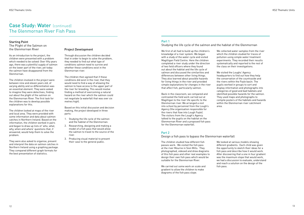As an introduction to the project, the children were presented with a problem which needed to be solved: Over fifty years ago, there was a plentiful supply of salmon on the lower part of the river, yet today the salmon have disappeared from the Glenmornan.

The children involved in the project were between nine and eleven years old, of varying ability and so differentiation was an essential element. They were asked to imagine they were detectives, finding out about the plight of the salmon on the Glenmornan River. The first task for the children was to develop possible explanations for this.

The children looked at maps of the river and local area. They were provided with some information and data about salmon catches in Northern Ireland. Based on the information, the children worked in pairs and began to draw up lists of 'who, what, why, when and where' questions that, if answered, would help them to solve the problem.

The Plight of the Salmon on the Glenmornan River **Project Development** 

They were also asked to organise, present and interpret the data on salmon catches in Northern Ireland using a graphing package. They compared different graph formats for the best presentation of statistics.

Through discussion the children decided that in order to begin to solve the problem, they needed to find out what type of conditions salmon need to survive and whether these conditions exist in the Glenmornan river.

The children then agreed that if these conditions did exist in the river, that they would need to find a way of allowing the salmon to have access to the upper part of the river for breeding. This would involve finding a method of overcoming a natural hazard on the river which the salmon could not negotiate (a waterfall that was over six metres high).

Based on this initial discussion and decision making, the project developed in three parts:

- 1. Studying the life cycle of the salmon and the habitat of the Glenmornan.
- 2. Researching, designing and making a model of a fish pass that would allow the salmon to travel to the source of the river.
- 3. Producing visual material to present their case to the general public.

#### Starting Point

#### Part 2

Design a fish pass to bypass the Glenmornan waterfall

We looked at various models showing different gradients. Each child was given the opportunity to sketch their ideas for a fish pass and describe how it would work. After discovering that a one in four gradient was the maximum slope that would work, we had a discussion to evaluate, understand and reach a solution on the design of the

### Case Study: Water (continued) The Glenmornan River Fish Pass

We first of all had to build up the children's knowledge of a river system. We began with a study of the water cycle and visited Magilligan Field Centre. Here the children completed a river study under the direction of two field officers where they found out about the habitat and the life cycle of salmon and discussed the similarities and differences between other living things. They also learned about possible hazards for living things in the river and provided simple explanations for changes in the river that affect fish, particularly salmon.

Back in the classroom, we compared and contrasted the field work carried out at Magilligan to the river life specific to the Glenmornan river. We arranged a visit into school by personnel from the Lough's Agency (the organisation responsible for the rivers that flow into Lough Foyle). The visitors from the Lough's Agency talked to the pupils on the habitat on the Glenmornan River and a proposed fish pass for the Glenmornan waterfall.

We collected water samples from the river which the children studied for traces of pollution using simple water treatment experiments. They recorded their results systematically and reported to the rest of the class on their investigations.

We visited the Loughs' Agency headquarters to find out how they help the conservation of the countryside and the rivers within the Foyle basin. The pupils worked in groups to sort and display information and photographs into categories of good and bad habitats and identified possible hazards for the salmon. They used maps and photographs to compile posters of the habitats and hazards within the Glenmornan river catchment area.

#### Part 1

Studying the life cycle of the salmon and the habitat of the Glenmornan

The children studied how different fish passes work. We visited the fish pass at the river Mourne in Sion Mills. They photographed, videoed and drew diagrams of this fish pass and other real examples to design their own fish pass which would be suitable for the Glenmornan River.

We carried out some work on scale and gradient to allow the children to make diagrams of the fish pass slope.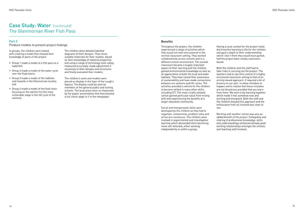In groups, the children were tasked with creating a model that showed their knowledge of parts of the project.

- • Group 1 made a model of a fish pass on a waterfall;
- • Group 2 made a model of the water cycle over the Foyle basin;
- • Group 3 made a model of the habitats and hazards in the Glenmornan locality; and
- • Group 4 made a model of the food chain focusing on the salmon fry (the most vulnerable stage in the life cycle of the salmon).

The children drew detailed labelled diagrams of their designs. They chose suitable materials for their models, based on their knowledge of material properties and using a range of technology tools safely, measured accurately, made adjustment if necessary to their designs and structures and finally evaluated their models.

The children's work and models were placed on display in the foyer of the Lough's Agency. The display could be seen by members of the general public and visiting schools. The local press were so impressed by the pupils' presentation that they devoted a full colour page to it in the newspaper.

#### **Benefits**

#### Part 3

Produce models to present project findings Throughout the project, the children

experienced a range of activities which they would not have encountered in the normal classroom setting. They worked collaboratively across schools and in a different school environment. The outside classroom became a hugely important aspect of their learning and the children gained environmental knowledge as well as an appreciation of both the local and wider habitats. They have raised their awareness of sustainability and have made connections between eco systems and life cycles. The activities provided a vehicle for the children to become skilled in many other skills, including ICT. The most rurally isolated school gained particular value from mixing with and experiencing the benefits of a larger education community.

## Case Study: Water (continued) The Glenmornan River Fish Pass

Social and interpersonal skills were developed by the children as they had to negotiate, compromise, problem solve and arrive at a consensus. The children were involved in experimental and investigative learning which demanded them becoming more self-directed, either working independently or within a group.

Having a local context for the project really did bring the learning to life for the children and gave a depth to their understanding which I don't think they would have gained, had the project been simply classroombased.

Both the children and the staff had to take risks in carrying out the project. The teachers had to sacrifice control of a highly structured classroom setting to that of an activity-based approach. It required a bit of bravery on our part, to allow mistakes to happen and to realise that these mistakes are not disastrous provided that you learn from them. We were truly learning together, which made it feel somehow new and exciting and energised. Both the staff and the children enjoyed this approach and the enthusiasm from all involved was clear to see.

Working with another school was also an added benefit of the project. Collegiality and sharing of professional knowledge, skills and understandings enhanced already good working relationships amongst the schools and teaching staff involved.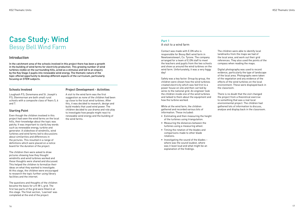Contact was made with E.ON who is responsible for Bessy Bell wind farm in Newtownstewart, Co. Tyrone. The company arranged for a team of E.ON staff to meet the teachers and pupils from the two schools and show us around the wind turbines on the wind farm. Unfortunately, it was a very foggy day!

Safety was a key factor. Group by group, the children were shown how the wind turbines created electricity which was fed first to a power house on site and then carried by wires to the national grid. An engineer took the children inside one of the wind turbines and talked to them about the equipment and how the turbine worked.

While at the wind farm, the children gathered and recorded various bits of information. These included:

- • Estimating and then measuring the height of the turbines using triangulation.
- • Measuring the distances between the turbines using a measuring wheel.
- • Timing the rotation of the blades and comparisons made to other blade rotations.
- $\bullet$  Investigating the sound of the blades where was the sound loudest, where was it least loud and what might be an explanation of the findings.

The children were able to identify local landmarks from the maps we had of the local area, and work out their grid references. They also used the points of the compass when reading the maps.

Digital photography was used to record evidence, particularly the type of landscape of the local area. Photographs were taken of the vegetation and any evidence of the effects of the wind turbines on the local environment. These were displayed back in

the classroom.

There is no doubt that the visit changed the project from a theoretical exercise to something that was a real local environmental project. The children had gathered lots of information to discuss, analyse and display back in the classroom.

#### Part 1

A visit to a wind farm

## Case Study: Wind Bessy Bell Wind Farm

#### Schools Involved

Loughash P.S, Donemana and St. Joseph's P.S, Glenmornan are both small rural schools with a composite class of Years 5, 6 and 7.

#### Starting Point

Even though the children involved in this project had seen the wind farms on the local hills, their knowledge about the topic was patchy. It was important to clarify key words such as renewable energy, turbine and generator. A slideshow of windmills, wind turbines and wind farms led to discussions about similarities and differences in the pictures. This resulted in a range of definitions which were placed on a notice board for the duration of the project.

The children then were asked to draw pictures showing how they thought windmills and wind turbines worked and these thoughts were shared and discussed. This helped the children to formalize their ideas on what they wanted to investigate. At this stage, the children were encouraged to research the topic further using library facilities and the internet.

The questions and thoughts of the children became the basis for a K-W-L grid. The first two parts of the grid were filled in at this stage. The final section, 'Learned' was completed at the end of the project.

#### Project Development - Activities

A visit to the wind farm was the first suggestion as none of the children had been up close to the local wind turbines. After this, it was decided to research, design and build models that used wind power. The children decided to use drama and role play to investigate how people might react to renewable wind energy and the building of the wind farms.

#### Introduction

In the catchment area of the schools involved in this project there has been a growth in the building of wind farms for electricity production. This growing number of wind turbines visible on the surrounding hills, acted as a stimulus and led to an enquiry by the Key Stage 2 pupils into renewable wind energy. The thematic nature of the topic offered opportunity to develop different aspects of the curriculum, particularly focusing on STEM subjects.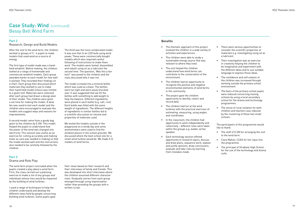After the visit to the wind farm, the children worked in groups of 3 - 4 pupils to make models that used wind as a source of energy.

The first type of model made was a handheld windmill. Before making, the children looked at a range of homemade and commercial windmill models. Each group awarded marks to each model for how well it worked. They recorded their findings on a chart. Each group then discussed which materials they wished to use to make their hand held model (choice was limited to a given list). Materials were collected after each group had drawn a design plan of their model. The children were given a set time for making the model. A desk fan was used to test each model and the children were encouraged to evaluate the models and suggest ways and reasons for improvements.

A second model came from a goody bag given to the children by E.ON. This model helped the pupils to understand how the power of the wind was changed into electricity. This session was useful as an exercise for cutting accurately and making holes as care was needed in making so that the model worked well and the instructions also needed to be carefully followed by the children.

The third was the most complicated model. It was one that lit an LED bulb using wind power. These were commercially bought models which also required careful following of instructions to make them work. The models were tested, dissembled and rebuilt using oil as a lubricant the second time. The question, 'Was this a fair test?' was posed to the children and the class discussed why it was not.

The model screwed into a mineral bottle which was used as a base. The bottles were too light and were easily knocked over. It was suggested that we fill the bottles with something to add weight to help the balance. Different ingredients were placed in each bottle (e.g. salt, rice). Each bottle was filled with the same weight of ingredients. The different heights of ingredients in similar bottles led to a scientific discussion on volume and properties of materials used.

We tested the models outside in the playground on a windy day and some anemometers were used to find the windiest places in the school grounds. We discussed where the best school site for a small wind turbine would be. We made 3-D models of wind farms.

The wind farm project concluded when the pupils created a play about a wind farm. First, the class carried out a planning exercise to make a list of any groups and individuals whose lives would be impacted by the building of wind turbines.

• The staff of E.ON for arranging the visit to the wind farm.

## Case Study: Wind (continued) Bessy Bell Wind Farm

I used a range of techniques to help the children understand and develop the different views held by people concerning building wind turbines. Some pupils gave

their views based on their research and their interviews of family and friends. This was developed into short interviews where the children assumed different character roles. Gradually stories from each group emerged through using improvisation rather than providing the groups with a written script.

#### **Benefits**

#### Part 2

Research, Design and Build Models

#### Part 3

Drama and Role Play

- • The thematic approach of this project involved the children in a wide variety of activities and experiences.
- The children were able to study a sustainable energy source that was relevant to where they lived.
- The visit helped the children understand how wind farms can contribute to the conservation of the environment.
- • The children had an opportunity to recognize the positive and negative environmental elements of wind farms in the community.
- The project gave the children opportunity to identify, collect and record data.
- • The children had fun at the wind turbines with the practical exercises of estimating, measuring, using angles and coordinates.
- • In the classroom, the children had opportunity to work independently and collectively – different roles were taken within the groups e.g. leader, writer, speaker.
- Each technology session offered opportunity to research topics, discuss and draw plans, sequence work, explain and justify opinions, draw conclusions, evaluate and take risks by learning from mistakes made.

• There were various opportunities to consider the scientific properties of materials e.g. investigating using oil as

• Their investigation was an exercise in creativity helping the children to be imaginative and experiment with the different ideas and to use suitable language to express those ideas.

• The confidence and self esteem of the children was increased through working outside the primary school

- a lubricant.
- 
- environment.
- programmes.
- schools.

• The fears of the primary school pupils were reduced concerning moving schools by using a local secondary school for the drama and technology

• The sense of rural isolation for both children and teachers was reduced by the clustering of these two small

The participants of this programme would like to thank:

• Ciara Mahon, CCEA for her input into the programme.

• The principal of Strabane High School for the use of the technology and drama

- 
- suite.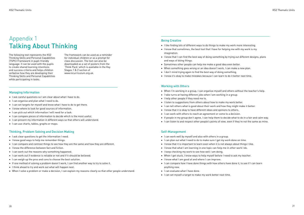## Appendix 1 Talking About Thinking

The following text represents the KS2 Thinking Skills and Personal Capabilities (TSPC) Framework in pupil-friendly language. It can be used with the pupils to create shared learning intentions and success criteria and helps children verbalise how they are developing their Thinking Skills and Personal Capabilities while participating in tasks.

The framework can be used as a reminder for individual children or as a prompt for class discussion. The text can also be downloaded as a set of posters from the 'Think Pack' which is available in the Key Stages 1 & 2 section of www.nicurriculum.org.uk.

- I ask careful questions so I am clear about what I have to do.
- • I can organise and plan what I need to do.
- I can set targets for myself and know what I have to do to get there.
- I know where to look for good sources of information.
- • I can pick out which information I will need for a task.
- I can compare pieces of information to decide which is the most useful.
- • I can present my information in different ways so that others will understand.
- • I can use charts, tables, graphs or maps.

#### Managing Information

- I ask clear questions to get the information I need.
- I know good ways to help me remember things.
- I can compare and contrast things to see how they are the same and how they are different.
- I know the difference between fact and fiction.
- I can work out the reasons why something happened.
- I can work out if evidence is reliable or not and if it should be believed.
- • I can weigh up the pros and cons to choose the best solution.
- • If one method of solving a problem doesn't work, I can find another way to try to solve it.
- • I think ahead to try and work out what will happen next.
- • When I solve a problem or make a decision, I can explain my reasons clearly so that other people understand.

#### Thinking, Problem Solving and Decision Making

- I like finding lots of different ways to do things to make my work more interesting.
- I know that sometimes, the best tool that I have for helping me with my work is my imagination.
- I know that I can find the best way of doing something by trying out different designs, plans and ways of doing things.
- • Sometimes other people can help me make a good idea even better.
- When something goes wrong or an idea doesn't work, I can make a new plan.
- I don't mind trying again to find the best way of doing something.
- • I know it's okay to make mistakes because I can learn to do it better next time.

#### Being Creative

#### Working with Others

- • When I'm working in a group, I can organise myself and others without the teacher's help.
- I take turns at having different jobs when I am working in a group.
- • I help other people if they need me to.
- I listen to suggestions from others about how to make my work better.
- I can tell others what is good about their work and how they might make it better.
- I know that it is okay to have different ideas and opinions to others.
- I can work with others to reach an agreement or come to a decision.
- • If people in my group don't agree, I can help them to decide what to do in a fair and calm way.
- • I can listen to and respect other people's points of view, even if they're not the same as mine.

#### Self-Management

- I can work well by myself and also with others in a group.
- I can plan out what I need to do to make sure I get my work done on time.
- I know that it is important to learn even when it is not always about things I like.
- I know that what I am learning in one topic can help me in other work I do.
- I keep checking my work to see how well I am doing.
- • When I get stuck, I know ways to help myself before I need to ask my teacher.
- I know what I am good at and where I can improve.
- I can compare how I have done things with how others have done it, to see if I can learn anything new.
- I can evaluate what I have done.
- I can set myself a target to make my work better next time.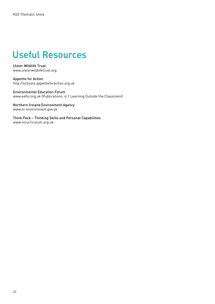## Useful Resources

Ulster Wildlife Trust www.ulsterwildlifetrust.org

Appetite for Action http://schools.appetiteforaction.org.uk

Environmental Education Forum www.eefni.org.uk (Publications: 6:1 Learning Outside the Classroom)

Northern Ireland Environment Agency www.ni-environment.gov.uk

Think Pack – Thinking Skills and Personal Capabilities www.nicurriculum.org.uk